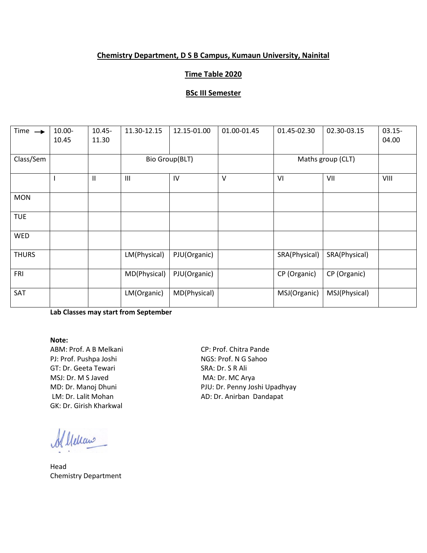# **Chemistry Department, D S B Campus, Kumaun University, Nainital**

# **Time Table 2020**

### **BSc III Semester**

| Time $\rightarrow$ | 10.00-<br>10.45 | $10.45 -$<br>11.30 | 11.30-12.15    | 12.15-01.00    | 01.00-01.45 | 01.45-02.30       | 02.30-03.15   | $03.15 -$<br>04.00 |
|--------------------|-----------------|--------------------|----------------|----------------|-------------|-------------------|---------------|--------------------|
| Class/Sem          |                 |                    |                | Bio Group(BLT) |             | Maths group (CLT) |               |                    |
|                    |                 | $\mathbf{II}$      | $\mathbf{III}$ | IV             | $\vee$      | VI                | VII           | VIII               |
| <b>MON</b>         |                 |                    |                |                |             |                   |               |                    |
| <b>TUE</b>         |                 |                    |                |                |             |                   |               |                    |
| <b>WED</b>         |                 |                    |                |                |             |                   |               |                    |
| <b>THURS</b>       |                 |                    | LM(Physical)   | PJU(Organic)   |             | SRA(Physical)     | SRA(Physical) |                    |
| FRI                |                 |                    | MD(Physical)   | PJU(Organic)   |             | CP (Organic)      | CP (Organic)  |                    |
| SAT                |                 |                    | LM(Organic)    | MD(Physical)   |             | MSJ(Organic)      | MSJ(Physical) |                    |

**Lab Classes may start from September**

#### **Note:**

ABM: Prof. A B Melkani CP: Prof. Chitra Pande PJ: Prof. Pushpa Joshi NGS: Prof. N G Sahoo GT: Dr. Geeta Tewari SRA: Dr. S R Ali MSJ: Dr. M S Javed MA: Dr. MC Arya GK: Dr. Girish Kharkwal

Allelcano

Head Chemistry Department

MD: Dr. Manoj Dhuni PJU: Dr. Penny Joshi Upadhyay LM: Dr. Lalit Mohan AD: Dr. Anirban Dandapat